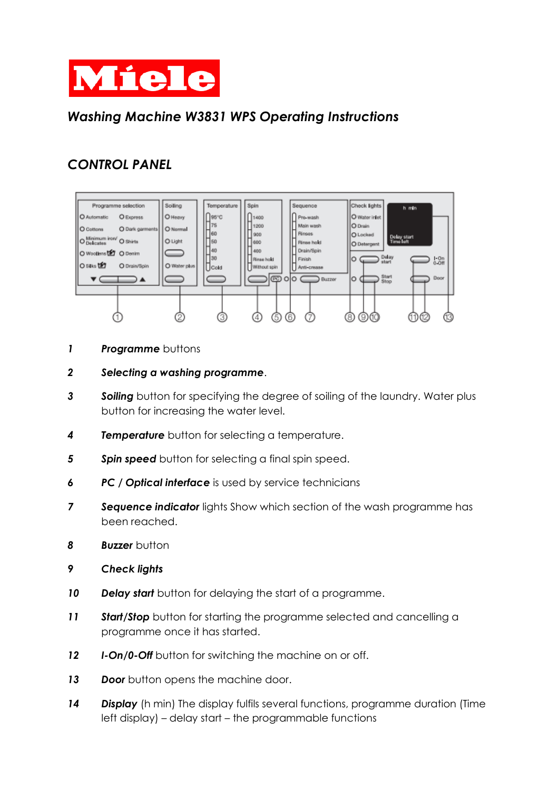

### *Washing Machine W3831 WPS Operating Instructions*

# *CONTROL PANEL*



**Programme** buttons

#### *Selecting a washing programme*.

- *Soiling* button for specifying the degree of soiling of the laundry. Water plus button for increasing the water level.
- *Temperature* button for selecting a temperature.
- **Spin speed** button for selecting a final spin speed.
- *PC / Optical interface* is used by service technicians
- *Sequence indicator* lights Show which section of the wash programme has been reached.
- **Buzzer** button
- *Check lights*
- *Delay start* button for delaying the start of a programme.
- Start/Stop button for starting the programme selected and cancelling a programme once it has started.
- *I-On/0-Off* button for switching the machine on or off.
- **Door** button opens the machine door.
- *Display* (h min) The display fulfils several functions, programme duration (Time left display) – delay start – the programmable functions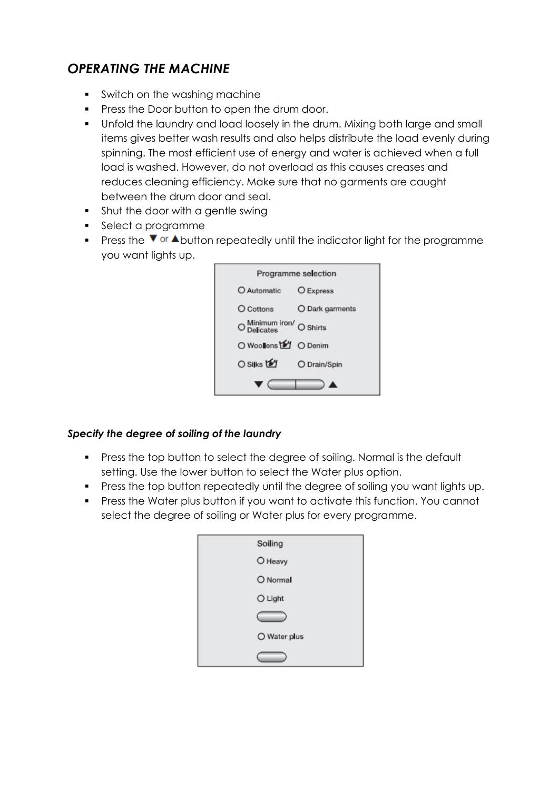## *OPERATING THE MACHINE*

- Switch on the washing machine
- Press the Door button to open the drum door.
- Unfold the laundry and load loosely in the drum. Mixing both large and small items gives better wash results and also helps distribute the load evenly during spinning. The most efficient use of energy and water is achieved when a full load is washed. However, do not overload as this causes creases and reduces cleaning efficiency. Make sure that no garments are caught between the drum door and seal.
- **•** Shut the door with a gentle swing
- Select a programme
- **•** Press the  $\blacktriangledown$  or  $\blacktriangle$  button repeatedly until the indicator light for the programme you want lights up.

| Programme selection      |                 |
|--------------------------|-----------------|
| O Automatic              | O Express       |
| O Cottons                | O Dark garments |
| O Minimum iron/ O Shirts |                 |
| ○ Woollens t2 O Denim    |                 |
| O Silks <b>ta</b>        | O Drain/Spin    |
|                          |                 |

### *Specify the degree of soiling of the laundry*

- Press the top button to select the degree of soiling. Normal is the default setting. Use the lower button to select the Water plus option.
- Press the top button repeatedly until the degree of soiling you want lights up.
- Press the Water plus button if you want to activate this function. You cannot select the degree of soiling or Water plus for every programme.

| Soiling      |
|--------------|
| O Heavy      |
| O Normal     |
| O Light      |
|              |
| O Water plus |
|              |